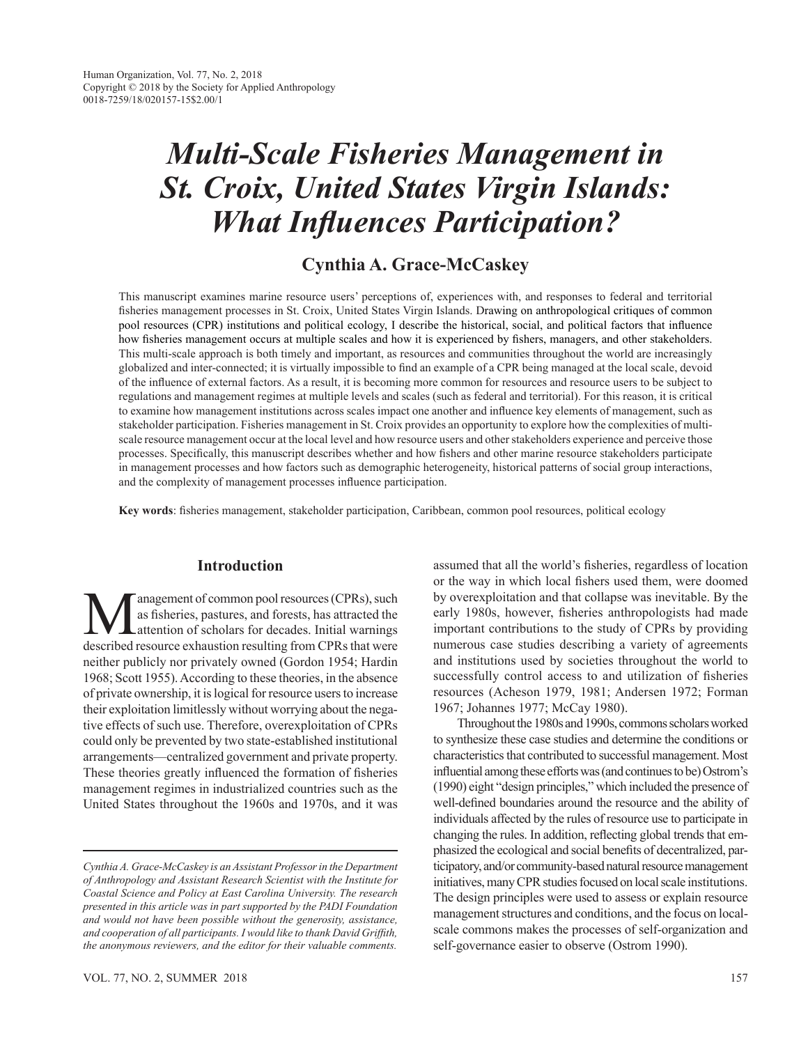# *Multi-Scale Fisheries Management in St. Croix, United States Virgin Islands: What Influences Participation?*

# **Cynthia A. Grace-McCaskey**

This manuscript examines marine resource users' perceptions of, experiences with, and responses to federal and territorial fisheries management processes in St. Croix, United States Virgin Islands. Drawing on anthropological critiques of common pool resources (CPR) institutions and political ecology, I describe the historical, social, and political factors that influence how fisheries management occurs at multiple scales and how it is experienced by fishers, managers, and other stakeholders. This multi-scale approach is both timely and important, as resources and communities throughout the world are increasingly globalized and inter-connected; it is virtually impossible to find an example of a CPR being managed at the local scale, devoid of the influence of external factors. As a result, it is becoming more common for resources and resource users to be subject to regulations and management regimes at multiple levels and scales (such as federal and territorial). For this reason, it is critical to examine how management institutions across scales impact one another and influence key elements of management, such as stakeholder participation. Fisheries management in St. Croix provides an opportunity to explore how the complexities of multiscale resource management occur at the local level and how resource users and other stakeholders experience and perceive those processes. Specifically, this manuscript describes whether and how fishers and other marine resource stakeholders participate in management processes and how factors such as demographic heterogeneity, historical patterns of social group interactions, and the complexity of management processes influence participation.

**Key words**: fisheries management, stakeholder participation, Caribbean, common pool resources, political ecology

# **Introduction**

**M**anagement of common pool resources (CPRs), such<br>as fisheries, pastures, and forests, has attracted the<br>described resource exhaustion resulting from CPRs that were as fisheries, pastures, and forests, has attracted the attention of scholars for decades. Initial warnings described resource exhaustion resulting from CPRs that were neither publicly nor privately owned (Gordon 1954; Hardin 1968; Scott 1955). According to these theories, in the absence of private ownership, it is logical for resource users to increase their exploitation limitlessly without worrying about the negative effects of such use. Therefore, overexploitation of CPRs could only be prevented by two state-established institutional arrangements—centralized government and private property. These theories greatly influenced the formation of fisheries management regimes in industrialized countries such as the United States throughout the 1960s and 1970s, and it was

assumed that all the world's fisheries, regardless of location or the way in which local fishers used them, were doomed by overexploitation and that collapse was inevitable. By the early 1980s, however, fisheries anthropologists had made important contributions to the study of CPRs by providing numerous case studies describing a variety of agreements and institutions used by societies throughout the world to successfully control access to and utilization of fisheries resources (Acheson 1979, 1981; Andersen 1972; Forman 1967; Johannes 1977; McCay 1980).

Throughout the 1980s and 1990s, commons scholars worked to synthesize these case studies and determine the conditions or characteristics that contributed to successful management. Most influential among these efforts was (and continues to be) Ostrom's (1990) eight "design principles," which included the presence of well-defined boundaries around the resource and the ability of individuals affected by the rules of resource use to participate in changing the rules. In addition, reflecting global trends that emphasized the ecological and social benefits of decentralized, participatory, and/or community-based natural resource management initiatives, many CPR studies focused on local scale institutions. The design principles were used to assess or explain resource management structures and conditions, and the focus on localscale commons makes the processes of self-organization and self-governance easier to observe (Ostrom 1990).

*Cynthia A. Grace-McCaskey is an Assistant Professor in the Department of Anthropology and Assistant Research Scientist with the Institute for Coastal Science and Policy at East Carolina University. The research presented in this article was in part supported by the PADI Foundation and would not have been possible without the generosity, assistance, and cooperation of all participants. I would like to thank David Griffith, the anonymous reviewers, and the editor for their valuable comments.*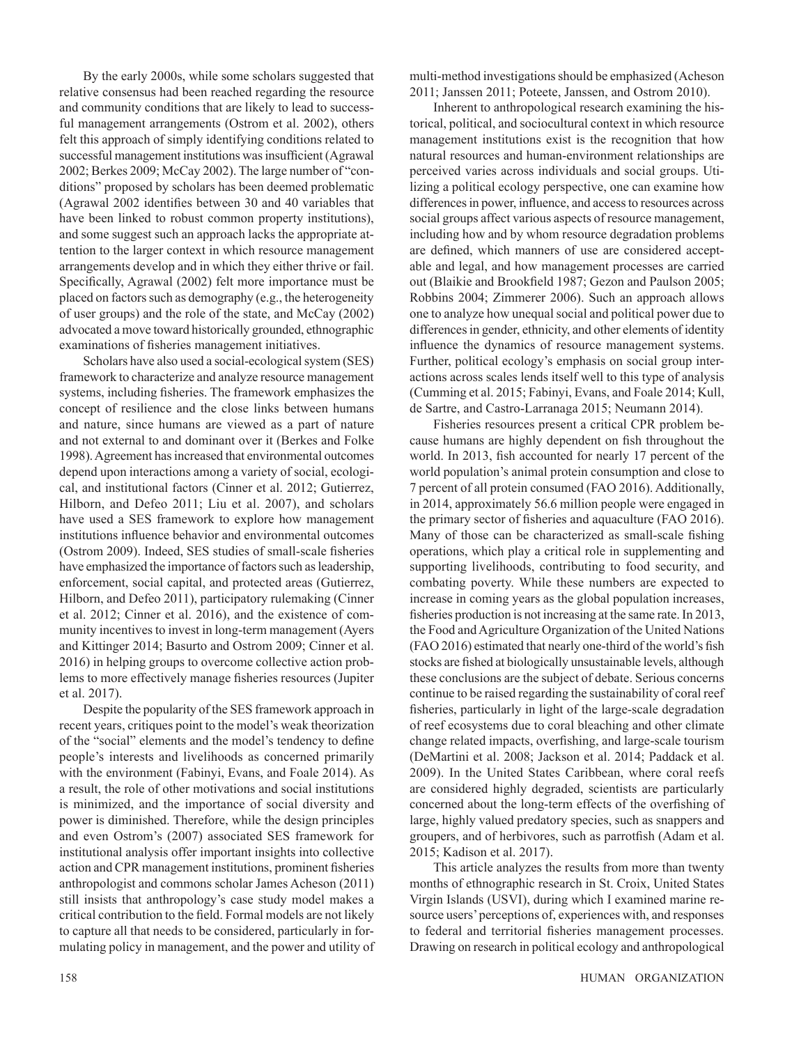By the early 2000s, while some scholars suggested that relative consensus had been reached regarding the resource and community conditions that are likely to lead to successful management arrangements (Ostrom et al. 2002), others felt this approach of simply identifying conditions related to successful management institutions was insufficient (Agrawal 2002; Berkes 2009; McCay 2002). The large number of "conditions" proposed by scholars has been deemed problematic (Agrawal 2002 identifies between 30 and 40 variables that have been linked to robust common property institutions), and some suggest such an approach lacks the appropriate attention to the larger context in which resource management arrangements develop and in which they either thrive or fail. Specifically, Agrawal (2002) felt more importance must be placed on factors such as demography (e.g., the heterogeneity of user groups) and the role of the state, and McCay (2002) advocated a move toward historically grounded, ethnographic examinations of fisheries management initiatives.

Scholars have also used a social-ecological system (SES) framework to characterize and analyze resource management systems, including fisheries. The framework emphasizes the concept of resilience and the close links between humans and nature, since humans are viewed as a part of nature and not external to and dominant over it (Berkes and Folke 1998). Agreement has increased that environmental outcomes depend upon interactions among a variety of social, ecological, and institutional factors (Cinner et al. 2012; Gutierrez, Hilborn, and Defeo 2011; Liu et al. 2007), and scholars have used a SES framework to explore how management institutions influence behavior and environmental outcomes (Ostrom 2009). Indeed, SES studies of small-scale fisheries have emphasized the importance of factors such as leadership, enforcement, social capital, and protected areas (Gutierrez, Hilborn, and Defeo 2011), participatory rulemaking (Cinner et al. 2012; Cinner et al. 2016), and the existence of community incentives to invest in long-term management (Ayers and Kittinger 2014; Basurto and Ostrom 2009; Cinner et al. 2016) in helping groups to overcome collective action problems to more effectively manage fisheries resources (Jupiter et al. 2017).

Despite the popularity of the SES framework approach in recent years, critiques point to the model's weak theorization of the "social" elements and the model's tendency to define people's interests and livelihoods as concerned primarily with the environment (Fabinyi, Evans, and Foale 2014). As a result, the role of other motivations and social institutions is minimized, and the importance of social diversity and power is diminished. Therefore, while the design principles and even Ostrom's (2007) associated SES framework for institutional analysis offer important insights into collective action and CPR management institutions, prominent fisheries anthropologist and commons scholar James Acheson (2011) still insists that anthropology's case study model makes a critical contribution to the field. Formal models are not likely to capture all that needs to be considered, particularly in formulating policy in management, and the power and utility of multi-method investigations should be emphasized (Acheson 2011; Janssen 2011; Poteete, Janssen, and Ostrom 2010).

Inherent to anthropological research examining the historical, political, and sociocultural context in which resource management institutions exist is the recognition that how natural resources and human-environment relationships are perceived varies across individuals and social groups. Utilizing a political ecology perspective, one can examine how differences in power, influence, and access to resources across social groups affect various aspects of resource management, including how and by whom resource degradation problems are defined, which manners of use are considered acceptable and legal, and how management processes are carried out (Blaikie and Brookfield 1987; Gezon and Paulson 2005; Robbins 2004; Zimmerer 2006). Such an approach allows one to analyze how unequal social and political power due to differences in gender, ethnicity, and other elements of identity influence the dynamics of resource management systems. Further, political ecology's emphasis on social group interactions across scales lends itself well to this type of analysis (Cumming et al. 2015; Fabinyi, Evans, and Foale 2014; Kull, de Sartre, and Castro-Larranaga 2015; Neumann 2014).

Fisheries resources present a critical CPR problem because humans are highly dependent on fish throughout the world. In 2013, fish accounted for nearly 17 percent of the world population's animal protein consumption and close to 7 percent of all protein consumed (FAO 2016). Additionally, in 2014, approximately 56.6 million people were engaged in the primary sector of fisheries and aquaculture (FAO 2016). Many of those can be characterized as small-scale fishing operations, which play a critical role in supplementing and supporting livelihoods, contributing to food security, and combating poverty. While these numbers are expected to increase in coming years as the global population increases, fisheries production is not increasing at the same rate. In 2013, the Food and Agriculture Organization of the United Nations (FAO 2016) estimated that nearly one-third of the world's fish stocks are fished at biologically unsustainable levels, although these conclusions are the subject of debate. Serious concerns continue to be raised regarding the sustainability of coral reef fisheries, particularly in light of the large-scale degradation of reef ecosystems due to coral bleaching and other climate change related impacts, overfishing, and large-scale tourism (DeMartini et al. 2008; Jackson et al. 2014; Paddack et al. 2009). In the United States Caribbean, where coral reefs are considered highly degraded, scientists are particularly concerned about the long-term effects of the overfishing of large, highly valued predatory species, such as snappers and groupers, and of herbivores, such as parrotfish (Adam et al. 2015; Kadison et al. 2017).

This article analyzes the results from more than twenty months of ethnographic research in St. Croix, United States Virgin Islands (USVI), during which I examined marine resource users' perceptions of, experiences with, and responses to federal and territorial fisheries management processes. Drawing on research in political ecology and anthropological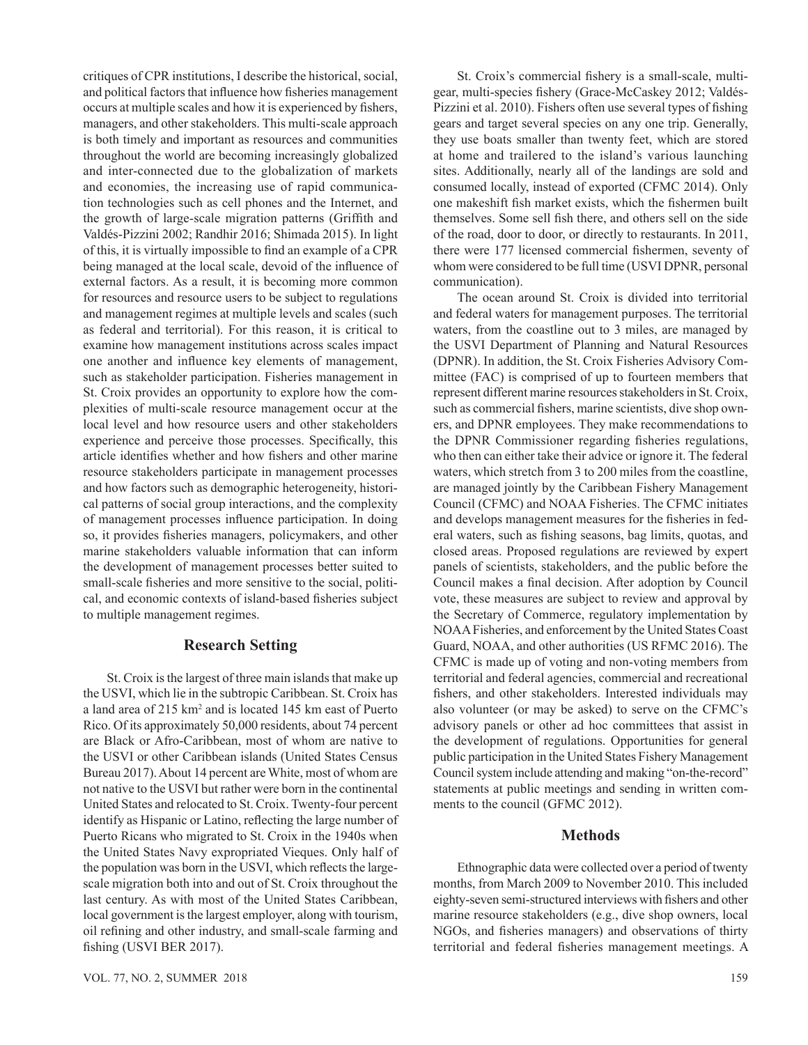critiques of CPR institutions, I describe the historical, social, and political factors that influence how fisheries management occurs at multiple scales and how it is experienced by fishers, managers, and other stakeholders. This multi-scale approach is both timely and important as resources and communities throughout the world are becoming increasingly globalized and inter-connected due to the globalization of markets and economies, the increasing use of rapid communication technologies such as cell phones and the Internet, and the growth of large-scale migration patterns (Griffith and Valdés-Pizzini 2002; Randhir 2016; Shimada 2015). In light of this, it is virtually impossible to find an example of a CPR being managed at the local scale, devoid of the influence of external factors. As a result, it is becoming more common for resources and resource users to be subject to regulations and management regimes at multiple levels and scales (such as federal and territorial). For this reason, it is critical to examine how management institutions across scales impact one another and influence key elements of management, such as stakeholder participation. Fisheries management in St. Croix provides an opportunity to explore how the complexities of multi-scale resource management occur at the local level and how resource users and other stakeholders experience and perceive those processes. Specifically, this article identifies whether and how fishers and other marine resource stakeholders participate in management processes and how factors such as demographic heterogeneity, historical patterns of social group interactions, and the complexity of management processes influence participation. In doing so, it provides fisheries managers, policymakers, and other marine stakeholders valuable information that can inform the development of management processes better suited to small-scale fisheries and more sensitive to the social, political, and economic contexts of island-based fisheries subject to multiple management regimes.

## **Research Setting**

St. Croix is the largest of three main islands that make up the USVI, which lie in the subtropic Caribbean. St. Croix has a land area of 215 km<sup>2</sup> and is located 145 km east of Puerto Rico. Of its approximately 50,000 residents, about 74 percent are Black or Afro-Caribbean, most of whom are native to the USVI or other Caribbean islands (United States Census Bureau 2017). About 14 percent are White, most of whom are not native to the USVI but rather were born in the continental United States and relocated to St. Croix. Twenty-four percent identify as Hispanic or Latino, reflecting the large number of Puerto Ricans who migrated to St. Croix in the 1940s when the United States Navy expropriated Vieques. Only half of the population was born in the USVI, which reflects the largescale migration both into and out of St. Croix throughout the last century. As with most of the United States Caribbean, local government is the largest employer, along with tourism, oil refining and other industry, and small-scale farming and fishing (USVI BER 2017).

St. Croix's commercial fishery is a small-scale, multigear, multi-species fishery (Grace-McCaskey 2012; Valdés-Pizzini et al. 2010). Fishers often use several types of fishing gears and target several species on any one trip. Generally, they use boats smaller than twenty feet, which are stored at home and trailered to the island's various launching sites. Additionally, nearly all of the landings are sold and consumed locally, instead of exported (CFMC 2014). Only one makeshift fish market exists, which the fishermen built themselves. Some sell fish there, and others sell on the side of the road, door to door, or directly to restaurants. In 2011, there were 177 licensed commercial fishermen, seventy of whom were considered to be full time (USVI DPNR, personal communication).

The ocean around St. Croix is divided into territorial and federal waters for management purposes. The territorial waters, from the coastline out to 3 miles, are managed by the USVI Department of Planning and Natural Resources (DPNR). In addition, the St. Croix Fisheries Advisory Committee (FAC) is comprised of up to fourteen members that represent different marine resources stakeholders in St. Croix, such as commercial fishers, marine scientists, dive shop owners, and DPNR employees. They make recommendations to the DPNR Commissioner regarding fisheries regulations, who then can either take their advice or ignore it. The federal waters, which stretch from 3 to 200 miles from the coastline, are managed jointly by the Caribbean Fishery Management Council (CFMC) and NOAA Fisheries. The CFMC initiates and develops management measures for the fisheries in federal waters, such as fishing seasons, bag limits, quotas, and closed areas. Proposed regulations are reviewed by expert panels of scientists, stakeholders, and the public before the Council makes a final decision. After adoption by Council vote, these measures are subject to review and approval by the Secretary of Commerce, regulatory implementation by NOAA Fisheries, and enforcement by the United States Coast Guard, NOAA, and other authorities (US RFMC 2016). The CFMC is made up of voting and non-voting members from territorial and federal agencies, commercial and recreational fishers, and other stakeholders. Interested individuals may also volunteer (or may be asked) to serve on the CFMC's advisory panels or other ad hoc committees that assist in the development of regulations. Opportunities for general public participation in the United States Fishery Management Council system include attending and making "on-the-record" statements at public meetings and sending in written comments to the council (GFMC 2012).

## **Methods**

Ethnographic data were collected over a period of twenty months, from March 2009 to November 2010. This included eighty-seven semi-structured interviews with fishers and other marine resource stakeholders (e.g., dive shop owners, local NGOs, and fisheries managers) and observations of thirty territorial and federal fisheries management meetings. A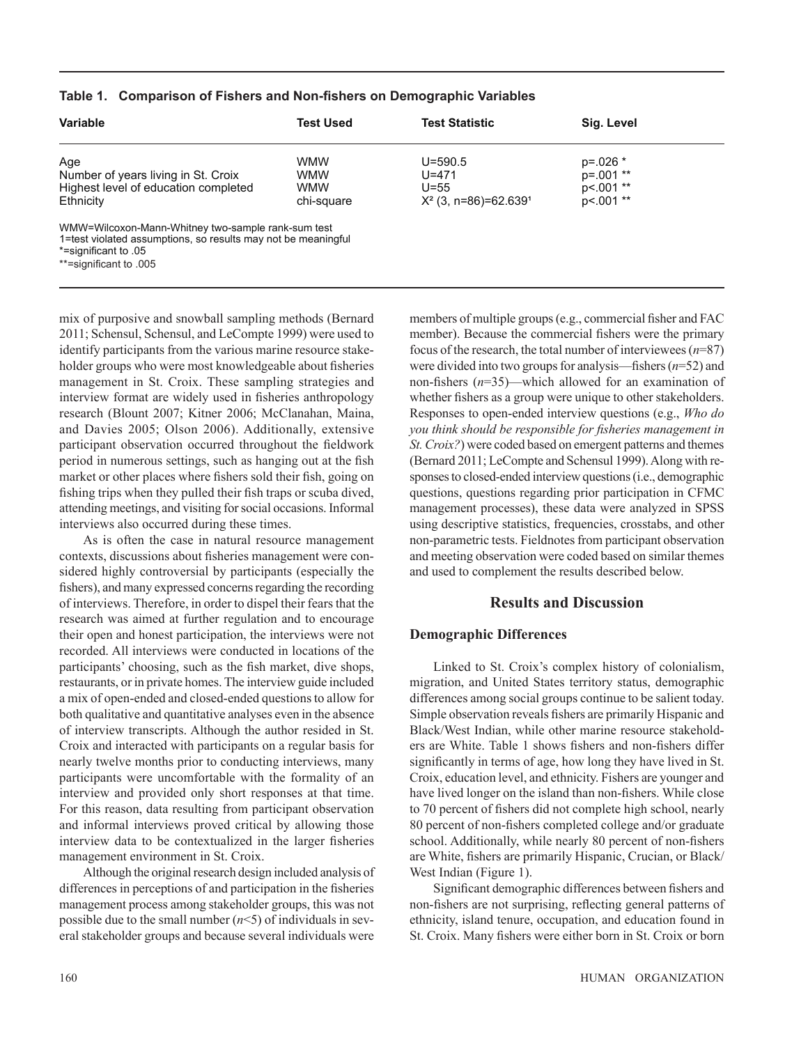| <b>Variable</b>                                               | <b>Test Used</b> | <b>Test Statistic</b>               | Sig. Level    |  |
|---------------------------------------------------------------|------------------|-------------------------------------|---------------|--|
| Age                                                           | <b>WMW</b>       | $U = 590.5$                         | $p = 0.026$ * |  |
| Number of years living in St. Croix                           | <b>WMW</b>       | $U = 471$                           | $p=.001$ **   |  |
| Highest level of education completed                          | <b>WMW</b>       | $U = 55$                            | $p<.001$ **   |  |
| Ethnicity                                                     | chi-square       | $X^2$ (3, n=86)=62.639 <sup>1</sup> | $p<.001$ **   |  |
| WMW=Wilcoxon-Mann-Whitney two-sample rank-sum test            |                  |                                     |               |  |
| 1=test violated assumptions, so results may not be meaningful |                  |                                     |               |  |
| *=significant to .05                                          |                  |                                     |               |  |
| **=significant to .005                                        |                  |                                     |               |  |

#### **Table 1. Comparison of Fishers and Non-fishers on Demographic Variables**

mix of purposive and snowball sampling methods (Bernard 2011; Schensul, Schensul, and LeCompte 1999) were used to identify participants from the various marine resource stakeholder groups who were most knowledgeable about fisheries management in St. Croix. These sampling strategies and interview format are widely used in fisheries anthropology research (Blount 2007; Kitner 2006; McClanahan, Maina, and Davies 2005; Olson 2006). Additionally, extensive participant observation occurred throughout the fieldwork period in numerous settings, such as hanging out at the fish market or other places where fishers sold their fish, going on fishing trips when they pulled their fish traps or scuba dived, attending meetings, and visiting for social occasions. Informal interviews also occurred during these times.

As is often the case in natural resource management contexts, discussions about fisheries management were considered highly controversial by participants (especially the fishers), and many expressed concerns regarding the recording of interviews. Therefore, in order to dispel their fears that the research was aimed at further regulation and to encourage their open and honest participation, the interviews were not recorded. All interviews were conducted in locations of the participants' choosing, such as the fish market, dive shops, restaurants, or in private homes. The interview guide included a mix of open-ended and closed-ended questions to allow for both qualitative and quantitative analyses even in the absence of interview transcripts. Although the author resided in St. Croix and interacted with participants on a regular basis for nearly twelve months prior to conducting interviews, many participants were uncomfortable with the formality of an interview and provided only short responses at that time. For this reason, data resulting from participant observation and informal interviews proved critical by allowing those interview data to be contextualized in the larger fisheries management environment in St. Croix.

Although the original research design included analysis of differences in perceptions of and participation in the fisheries management process among stakeholder groups, this was not possible due to the small number (*n*<5) of individuals in several stakeholder groups and because several individuals were members of multiple groups (e.g., commercial fisher and FAC member). Because the commercial fishers were the primary focus of the research, the total number of interviewees (*n*=87) were divided into two groups for analysis—fishers (*n*=52) and non-fishers (*n*=35)—which allowed for an examination of whether fishers as a group were unique to other stakeholders. Responses to open-ended interview questions (e.g., *Who do you think should be responsible for fisheries management in St. Croix?*) were coded based on emergent patterns and themes (Bernard 2011; LeCompte and Schensul 1999). Along with responses to closed-ended interview questions (i.e., demographic questions, questions regarding prior participation in CFMC management processes), these data were analyzed in SPSS using descriptive statistics, frequencies, crosstabs, and other non-parametric tests. Fieldnotes from participant observation and meeting observation were coded based on similar themes and used to complement the results described below.

## **Results and Discussion**

## **Demographic Differences**

Linked to St. Croix's complex history of colonialism, migration, and United States territory status, demographic differences among social groups continue to be salient today. Simple observation reveals fishers are primarily Hispanic and Black/West Indian, while other marine resource stakeholders are White. Table 1 shows fishers and non-fishers differ significantly in terms of age, how long they have lived in St. Croix, education level, and ethnicity. Fishers are younger and have lived longer on the island than non-fishers. While close to 70 percent of fishers did not complete high school, nearly 80 percent of non-fishers completed college and/or graduate school. Additionally, while nearly 80 percent of non-fishers are White, fishers are primarily Hispanic, Crucian, or Black/ West Indian (Figure 1).

Significant demographic differences between fishers and non-fishers are not surprising, reflecting general patterns of ethnicity, island tenure, occupation, and education found in St. Croix. Many fishers were either born in St. Croix or born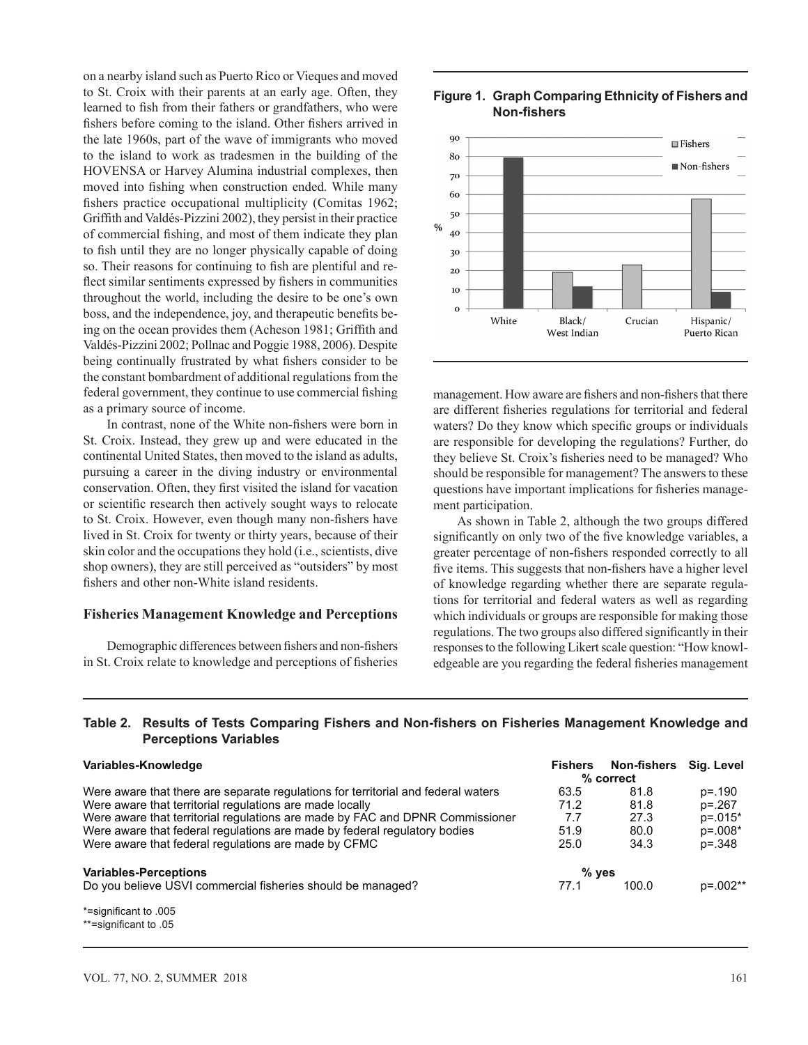on a nearby island such as Puerto Rico or Vieques and moved to St. Croix with their parents at an early age. Often, they learned to fish from their fathers or grandfathers, who were fishers before coming to the island. Other fishers arrived in the late 1960s, part of the wave of immigrants who moved to the island to work as tradesmen in the building of the HOVENSA or Harvey Alumina industrial complexes, then moved into fishing when construction ended. While many fishers practice occupational multiplicity (Comitas 1962; Griffith and Valdés-Pizzini 2002), they persist in their practice of commercial fishing, and most of them indicate they plan to fish until they are no longer physically capable of doing so. Their reasons for continuing to fish are plentiful and reflect similar sentiments expressed by fishers in communities throughout the world, including the desire to be one's own boss, and the independence, joy, and therapeutic benefits being on the ocean provides them (Acheson 1981; Griffith and Valdés-Pizzini 2002; Pollnac and Poggie 1988, 2006). Despite being continually frustrated by what fishers consider to be the constant bombardment of additional regulations from the federal government, they continue to use commercial fishing as a primary source of income.

In contrast, none of the White non-fishers were born in St. Croix. Instead, they grew up and were educated in the continental United States, then moved to the island as adults, pursuing a career in the diving industry or environmental conservation. Often, they first visited the island for vacation or scientific research then actively sought ways to relocate to St. Croix. However, even though many non-fishers have lived in St. Croix for twenty or thirty years, because of their skin color and the occupations they hold (i.e., scientists, dive shop owners), they are still perceived as "outsiders" by most fishers and other non-White island residents.

#### **Fisheries Management Knowledge and Perceptions**

Demographic differences between fishers and non-fishers in St. Croix relate to knowledge and perceptions of fisheries

## **Figure 1. Graph Comparing Ethnicity of Fishers and Non-fishers**



management. How aware are fishers and non-fishers that there are different fisheries regulations for territorial and federal waters? Do they know which specific groups or individuals are responsible for developing the regulations? Further, do they believe St. Croix's fisheries need to be managed? Who should be responsible for management? The answers to these questions have important implications for fisheries management participation.

As shown in Table 2, although the two groups differed significantly on only two of the five knowledge variables, a greater percentage of non-fishers responded correctly to all five items. This suggests that non-fishers have a higher level of knowledge regarding whether there are separate regulations for territorial and federal waters as well as regarding which individuals or groups are responsible for making those regulations. The two groups also differed significantly in their responses to the following Likert scale question: "How knowledgeable are you regarding the federal fisheries management

## **Table 2. Results of Tests Comparing Fishers and Non-fishers on Fisheries Management Knowledge and Perceptions Variables**

| Variables-Knowledge                                                                                                                                                                                                                                                                                                                                                 | <b>Fishers</b>                      | <b>Non-fishers</b><br>% correct      | Sig. Level                                                 |
|---------------------------------------------------------------------------------------------------------------------------------------------------------------------------------------------------------------------------------------------------------------------------------------------------------------------------------------------------------------------|-------------------------------------|--------------------------------------|------------------------------------------------------------|
| Were aware that there are separate regulations for territorial and federal waters<br>Were aware that territorial regulations are made locally<br>Were aware that territorial regulations are made by FAC and DPNR Commissioner<br>Were aware that federal regulations are made by federal regulatory bodies<br>Were aware that federal regulations are made by CFMC | 63.5<br>71.2<br>7.7<br>51.9<br>25.0 | 81.8<br>81.8<br>27.3<br>80.0<br>34.3 | $p = 190$<br>p=.267<br>$p=.015*$<br>$p=.008*$<br>$p = 348$ |
| <b>Variables-Perceptions</b><br>Do you believe USVI commercial fisheries should be managed?                                                                                                                                                                                                                                                                         | $%$ yes<br>77.1                     | 100.0                                | p=.002**                                                   |
| *=significant to .005<br>**=significant to .05                                                                                                                                                                                                                                                                                                                      |                                     |                                      |                                                            |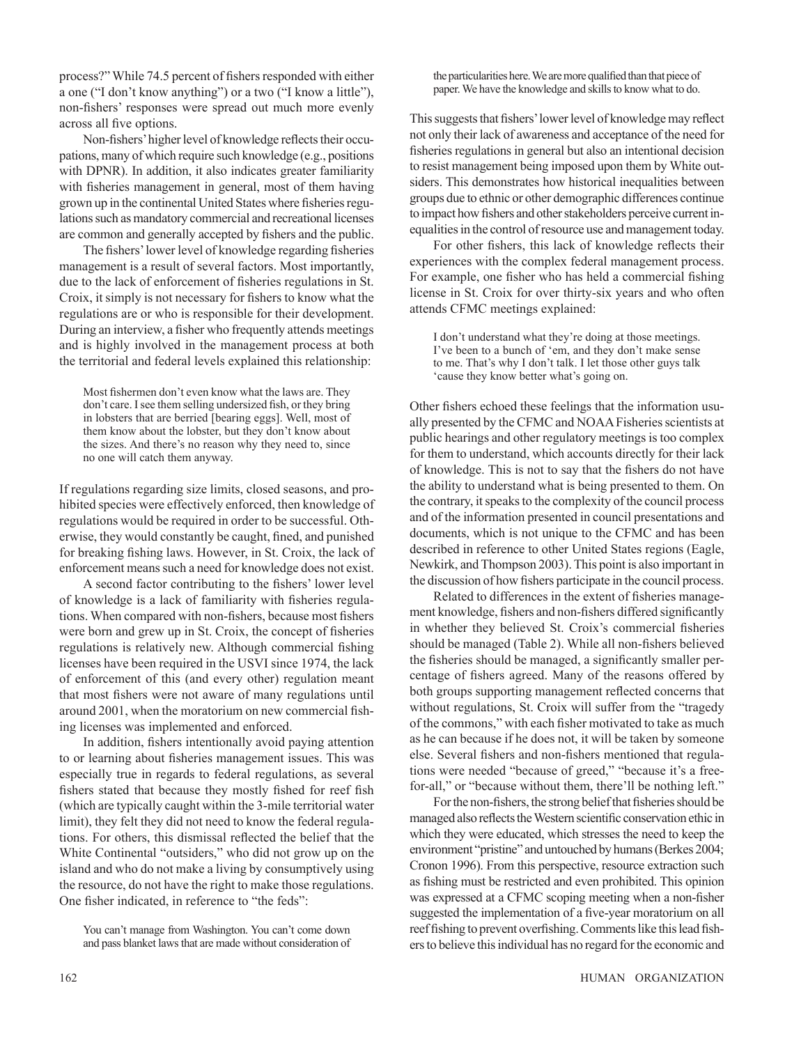process?" While 74.5 percent of fishers responded with either a one ("I don't know anything") or a two ("I know a little"), non-fishers' responses were spread out much more evenly across all five options.

Non-fishers' higher level of knowledge reflects their occupations, many of which require such knowledge (e.g., positions with DPNR). In addition, it also indicates greater familiarity with fisheries management in general, most of them having grown up in the continental United States where fisheries regulations such as mandatory commercial and recreational licenses are common and generally accepted by fishers and the public.

The fishers' lower level of knowledge regarding fisheries management is a result of several factors. Most importantly, due to the lack of enforcement of fisheries regulations in St. Croix, it simply is not necessary for fishers to know what the regulations are or who is responsible for their development. During an interview, a fisher who frequently attends meetings and is highly involved in the management process at both the territorial and federal levels explained this relationship:

Most fishermen don't even know what the laws are. They don't care. I see them selling undersized fish, or they bring in lobsters that are berried [bearing eggs]. Well, most of them know about the lobster, but they don't know about the sizes. And there's no reason why they need to, since no one will catch them anyway.

If regulations regarding size limits, closed seasons, and prohibited species were effectively enforced, then knowledge of regulations would be required in order to be successful. Otherwise, they would constantly be caught, fined, and punished for breaking fishing laws. However, in St. Croix, the lack of enforcement means such a need for knowledge does not exist.

A second factor contributing to the fishers' lower level of knowledge is a lack of familiarity with fisheries regulations. When compared with non-fishers, because most fishers were born and grew up in St. Croix, the concept of fisheries regulations is relatively new. Although commercial fishing licenses have been required in the USVI since 1974, the lack of enforcement of this (and every other) regulation meant that most fishers were not aware of many regulations until around 2001, when the moratorium on new commercial fishing licenses was implemented and enforced.

In addition, fishers intentionally avoid paying attention to or learning about fisheries management issues. This was especially true in regards to federal regulations, as several fishers stated that because they mostly fished for reef fish (which are typically caught within the 3-mile territorial water limit), they felt they did not need to know the federal regulations. For others, this dismissal reflected the belief that the White Continental "outsiders," who did not grow up on the island and who do not make a living by consumptively using the resource, do not have the right to make those regulations. One fisher indicated, in reference to "the feds":

You can't manage from Washington. You can't come down and pass blanket laws that are made without consideration of the particularities here. We are more qualified than that piece of paper. We have the knowledge and skills to know what to do.

This suggests that fishers' lower level of knowledge may reflect not only their lack of awareness and acceptance of the need for fisheries regulations in general but also an intentional decision to resist management being imposed upon them by White outsiders. This demonstrates how historical inequalities between groups due to ethnic or other demographic differences continue to impact how fishers and other stakeholders perceive current inequalities in the control of resource use and management today.

For other fishers, this lack of knowledge reflects their experiences with the complex federal management process. For example, one fisher who has held a commercial fishing license in St. Croix for over thirty-six years and who often attends CFMC meetings explained:

I don't understand what they're doing at those meetings. I've been to a bunch of 'em, and they don't make sense to me. That's why I don't talk. I let those other guys talk 'cause they know better what's going on.

Other fishers echoed these feelings that the information usually presented by the CFMC and NOAA Fisheries scientists at public hearings and other regulatory meetings is too complex for them to understand, which accounts directly for their lack of knowledge. This is not to say that the fishers do not have the ability to understand what is being presented to them. On the contrary, it speaks to the complexity of the council process and of the information presented in council presentations and documents, which is not unique to the CFMC and has been described in reference to other United States regions (Eagle, Newkirk, and Thompson 2003). This point is also important in the discussion of how fishers participate in the council process.

Related to differences in the extent of fisheries management knowledge, fishers and non-fishers differed significantly in whether they believed St. Croix's commercial fisheries should be managed (Table 2). While all non-fishers believed the fisheries should be managed, a significantly smaller percentage of fishers agreed. Many of the reasons offered by both groups supporting management reflected concerns that without regulations, St. Croix will suffer from the "tragedy" of the commons," with each fisher motivated to take as much as he can because if he does not, it will be taken by someone else. Several fishers and non-fishers mentioned that regulations were needed "because of greed," "because it's a freefor-all," or "because without them, there'll be nothing left."

For the non-fishers, the strong belief that fisheries should be managed also reflects the Western scientific conservation ethic in which they were educated, which stresses the need to keep the environment "pristine" and untouched by humans (Berkes 2004; Cronon 1996). From this perspective, resource extraction such as fishing must be restricted and even prohibited. This opinion was expressed at a CFMC scoping meeting when a non-fisher suggested the implementation of a five-year moratorium on all reef fishing to prevent overfishing. Comments like this lead fishers to believe this individual has no regard for the economic and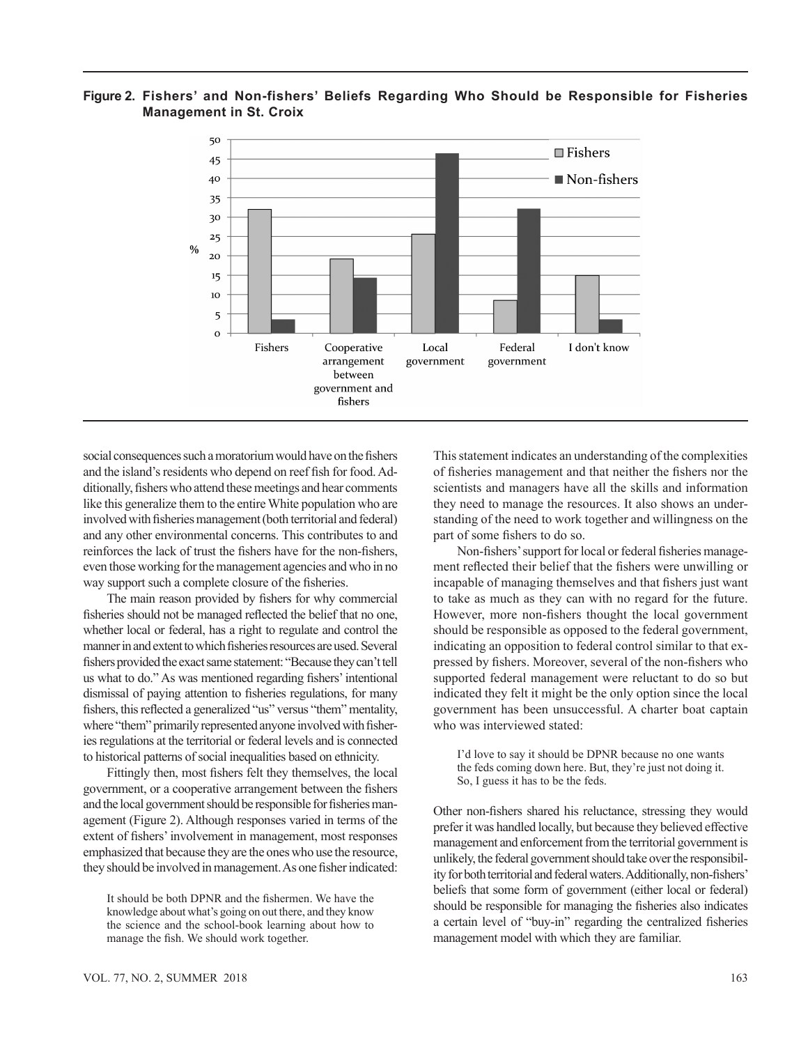# **Figure 2. Fishers' and Non-fishers' Beliefs Regarding Who Should be Responsible for Fisheries Management in St. Croix**



social consequences such a moratorium would have on the fishers and the island's residents who depend on reef fish for food. Additionally, fishers who attend these meetings and hear comments like this generalize them to the entire White population who are involved with fisheries management (both territorial and federal) and any other environmental concerns. This contributes to and reinforces the lack of trust the fishers have for the non-fishers, even those working for the management agencies and who in no way support such a complete closure of the fisheries.

The main reason provided by fishers for why commercial fisheries should not be managed reflected the belief that no one, whether local or federal, has a right to regulate and control the manner in and extent to which fisheries resources are used. Several fishers provided the exact same statement: "Because they can't tell us what to do." As was mentioned regarding fishers' intentional dismissal of paying attention to fisheries regulations, for many fishers, this reflected a generalized "us" versus "them" mentality, where "them" primarily represented anyone involved with fisheries regulations at the territorial or federal levels and is connected to historical patterns of social inequalities based on ethnicity.

Fittingly then, most fishers felt they themselves, the local government, or a cooperative arrangement between the fishers and the local government should be responsible for fisheries management (Figure 2). Although responses varied in terms of the extent of fishers' involvement in management, most responses emphasized that because they are the ones who use the resource, they should be involved in management. As one fisher indicated: This statement indicates an understanding of the complexities of fisheries management and that neither the fishers nor the scientists and managers have all the skills and information they need to manage the resources. It also shows an understanding of the need to work together and willingness on the part of some fishers to do so.

Non-fishers' support for local or federal fisheries management reflected their belief that the fishers were unwilling or incapable of managing themselves and that fishers just want to take as much as they can with no regard for the future. However, more non-fishers thought the local government should be responsible as opposed to the federal government, indicating an opposition to federal control similar to that expressed by fishers. Moreover, several of the non-fishers who supported federal management were reluctant to do so but indicated they felt it might be the only option since the local government has been unsuccessful. A charter boat captain who was interviewed stated:

I'd love to say it should be DPNR because no one wants the feds coming down here. But, they're just not doing it. So, I guess it has to be the feds.

Other non-fishers shared his reluctance, stressing they would prefer it was handled locally, but because they believed effective management and enforcement from the territorial government is unlikely, the federal government should take over the responsibility for both territorial and federal waters. Additionally, non-fishers' beliefs that some form of government (either local or federal) should be responsible for managing the fisheries also indicates a certain level of "buy-in" regarding the centralized fisheries management model with which they are familiar.

It should be both DPNR and the fishermen. We have the knowledge about what's going on out there, and they know the science and the school-book learning about how to manage the fish. We should work together.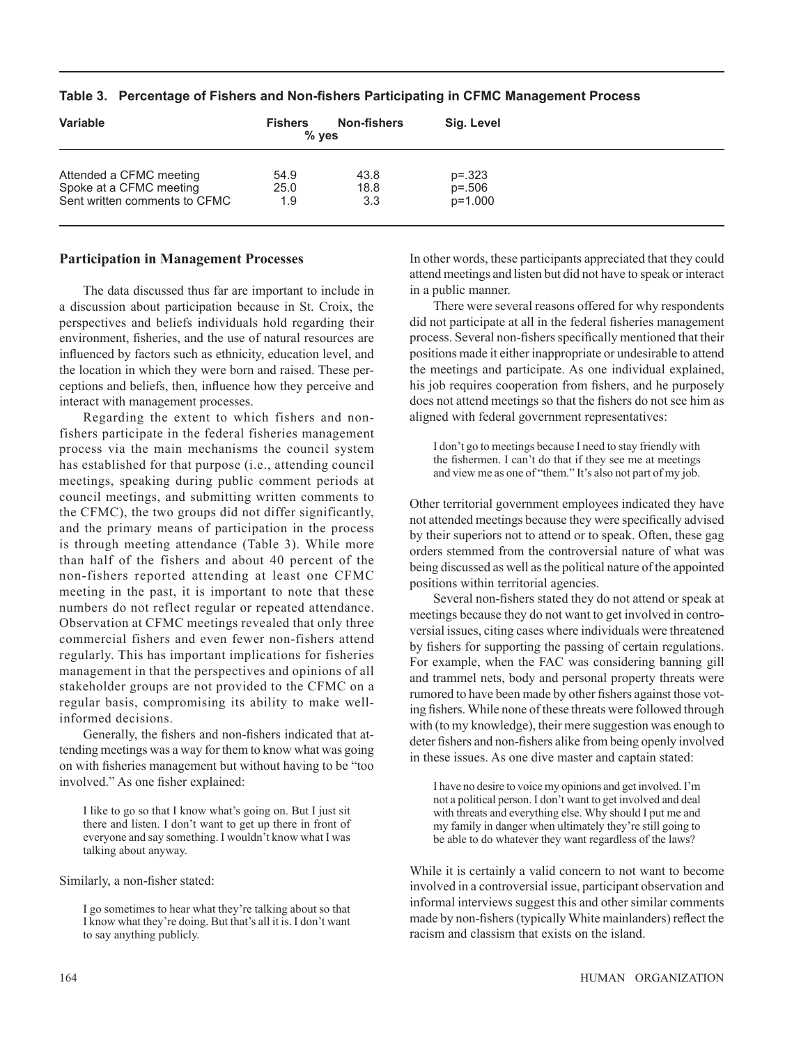| <b>Variable</b>               | <b>Fishers</b><br>$%$ yes | <b>Non-fishers</b> | Sig. Level |  |
|-------------------------------|---------------------------|--------------------|------------|--|
| Attended a CFMC meeting       | 54.9                      | 43.8               | $p = 323$  |  |
| Spoke at a CFMC meeting       | 25.0                      | 18.8               | $p = 506$  |  |
| Sent written comments to CFMC | 1.9                       | 3.3                | p=1.000    |  |

#### **Table 3. Percentage of Fishers and Non-fishers Participating in CFMC Management Process**

#### **Participation in Management Processes**

The data discussed thus far are important to include in a discussion about participation because in St. Croix, the perspectives and beliefs individuals hold regarding their environment, fisheries, and the use of natural resources are influenced by factors such as ethnicity, education level, and the location in which they were born and raised. These perceptions and beliefs, then, influence how they perceive and interact with management processes.

Regarding the extent to which fishers and nonfishers participate in the federal fisheries management process via the main mechanisms the council system has established for that purpose (i.e., attending council meetings, speaking during public comment periods at council meetings, and submitting written comments to the CFMC), the two groups did not differ significantly, and the primary means of participation in the process is through meeting attendance (Table 3). While more than half of the fishers and about 40 percent of the non-fishers reported attending at least one CFMC meeting in the past, it is important to note that these numbers do not reflect regular or repeated attendance. Observation at CFMC meetings revealed that only three commercial fishers and even fewer non-fishers attend regularly. This has important implications for fisheries management in that the perspectives and opinions of all stakeholder groups are not provided to the CFMC on a regular basis, compromising its ability to make wellinformed decisions.

Generally, the fishers and non-fishers indicated that attending meetings was a way for them to know what was going on with fisheries management but without having to be "too involved." As one fisher explained:

I like to go so that I know what's going on. But I just sit there and listen. I don't want to get up there in front of everyone and say something. I wouldn't know what I was talking about anyway.

Similarly, a non-fisher stated:

I go sometimes to hear what they're talking about so that I know what they're doing. But that's all it is. I don't want to say anything publicly.

In other words, these participants appreciated that they could attend meetings and listen but did not have to speak or interact in a public manner.

There were several reasons offered for why respondents did not participate at all in the federal fisheries management process. Several non-fishers specifically mentioned that their positions made it either inappropriate or undesirable to attend the meetings and participate. As one individual explained, his job requires cooperation from fishers, and he purposely does not attend meetings so that the fishers do not see him as aligned with federal government representatives:

I don't go to meetings because I need to stay friendly with the fishermen. I can't do that if they see me at meetings and view me as one of "them." It's also not part of my job.

Other territorial government employees indicated they have not attended meetings because they were specifically advised by their superiors not to attend or to speak. Often, these gag orders stemmed from the controversial nature of what was being discussed as well as the political nature of the appointed positions within territorial agencies.

Several non-fishers stated they do not attend or speak at meetings because they do not want to get involved in controversial issues, citing cases where individuals were threatened by fishers for supporting the passing of certain regulations. For example, when the FAC was considering banning gill and trammel nets, body and personal property threats were rumored to have been made by other fishers against those voting fishers. While none of these threats were followed through with (to my knowledge), their mere suggestion was enough to deter fishers and non-fishers alike from being openly involved in these issues. As one dive master and captain stated:

I have no desire to voice my opinions and get involved. I'm not a political person. I don't want to get involved and deal with threats and everything else. Why should I put me and my family in danger when ultimately they're still going to be able to do whatever they want regardless of the laws?

While it is certainly a valid concern to not want to become involved in a controversial issue, participant observation and informal interviews suggest this and other similar comments made by non-fishers (typically White mainlanders) reflect the racism and classism that exists on the island.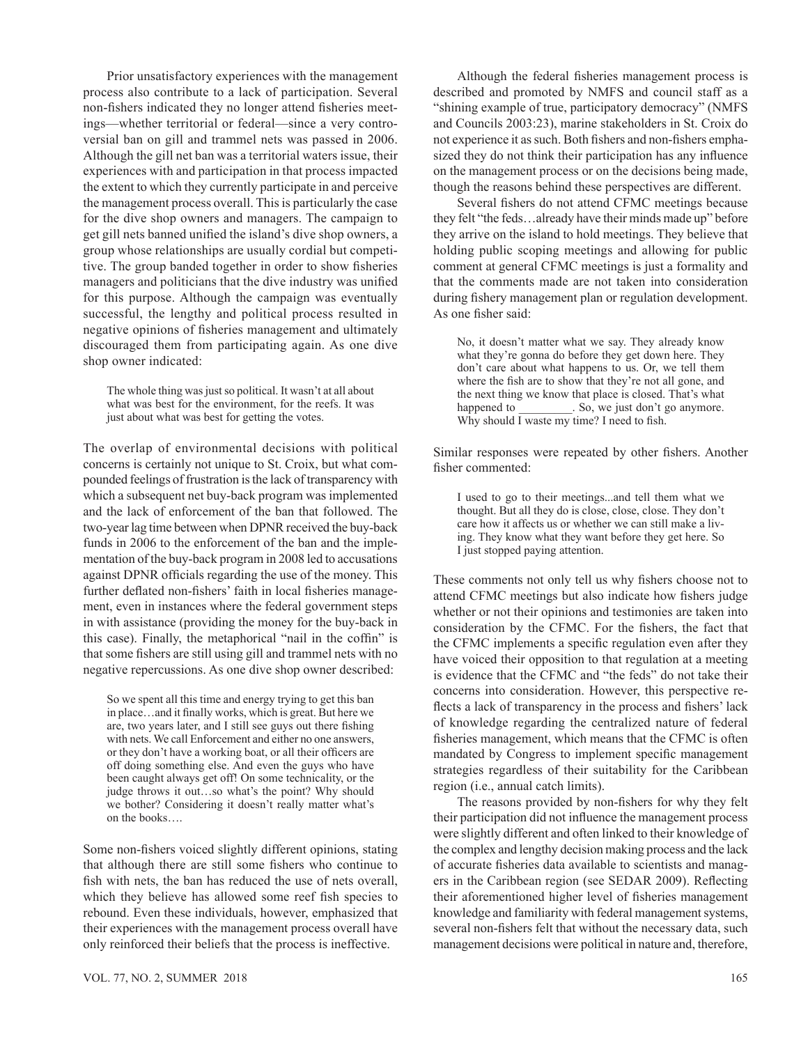Prior unsatisfactory experiences with the management process also contribute to a lack of participation. Several non-fishers indicated they no longer attend fisheries meetings—whether territorial or federal—since a very controversial ban on gill and trammel nets was passed in 2006. Although the gill net ban was a territorial waters issue, their experiences with and participation in that process impacted the extent to which they currently participate in and perceive the management process overall. This is particularly the case for the dive shop owners and managers. The campaign to get gill nets banned unified the island's dive shop owners, a group whose relationships are usually cordial but competitive. The group banded together in order to show fisheries managers and politicians that the dive industry was unified for this purpose. Although the campaign was eventually successful, the lengthy and political process resulted in negative opinions of fisheries management and ultimately discouraged them from participating again. As one dive shop owner indicated:

The whole thing was just so political. It wasn't at all about what was best for the environment, for the reefs. It was just about what was best for getting the votes.

The overlap of environmental decisions with political concerns is certainly not unique to St. Croix, but what compounded feelings of frustration is the lack of transparency with which a subsequent net buy-back program was implemented and the lack of enforcement of the ban that followed. The two-year lag time between when DPNR received the buy-back funds in 2006 to the enforcement of the ban and the implementation of the buy-back program in 2008 led to accusations against DPNR officials regarding the use of the money. This further deflated non-fishers' faith in local fisheries management, even in instances where the federal government steps in with assistance (providing the money for the buy-back in this case). Finally, the metaphorical "nail in the coffin" is that some fishers are still using gill and trammel nets with no negative repercussions. As one dive shop owner described:

So we spent all this time and energy trying to get this ban in place…and it finally works, which is great. But here we are, two years later, and I still see guys out there fishing with nets. We call Enforcement and either no one answers, or they don't have a working boat, or all their officers are off doing something else. And even the guys who have been caught always get off! On some technicality, or the judge throws it out…so what's the point? Why should we bother? Considering it doesn't really matter what's on the books….

Some non-fishers voiced slightly different opinions, stating that although there are still some fishers who continue to fish with nets, the ban has reduced the use of nets overall, which they believe has allowed some reef fish species to rebound. Even these individuals, however, emphasized that their experiences with the management process overall have only reinforced their beliefs that the process is ineffective.

VOL. 77, NO. 2, SUMMER 2018 165

Although the federal fisheries management process is described and promoted by NMFS and council staff as a "shining example of true, participatory democracy" (NMFS and Councils 2003:23), marine stakeholders in St. Croix do not experience it as such. Both fishers and non-fishers emphasized they do not think their participation has any influence on the management process or on the decisions being made, though the reasons behind these perspectives are different.

Several fishers do not attend CFMC meetings because they felt "the feds…already have their minds made up" before they arrive on the island to hold meetings. They believe that holding public scoping meetings and allowing for public comment at general CFMC meetings is just a formality and that the comments made are not taken into consideration during fishery management plan or regulation development. As one fisher said:

No, it doesn't matter what we say. They already know what they're gonna do before they get down here. They don't care about what happens to us. Or, we tell them where the fish are to show that they're not all gone, and the next thing we know that place is closed. That's what happened to So, we just don't go anymore. Why should I waste my time? I need to fish.

Similar responses were repeated by other fishers. Another fisher commented:

I used to go to their meetings...and tell them what we thought. But all they do is close, close, close. They don't care how it affects us or whether we can still make a living. They know what they want before they get here. So I just stopped paying attention.

These comments not only tell us why fishers choose not to attend CFMC meetings but also indicate how fishers judge whether or not their opinions and testimonies are taken into consideration by the CFMC. For the fishers, the fact that the CFMC implements a specific regulation even after they have voiced their opposition to that regulation at a meeting is evidence that the CFMC and "the feds" do not take their concerns into consideration. However, this perspective reflects a lack of transparency in the process and fishers' lack of knowledge regarding the centralized nature of federal fisheries management, which means that the CFMC is often mandated by Congress to implement specific management strategies regardless of their suitability for the Caribbean region (i.e., annual catch limits).

The reasons provided by non-fishers for why they felt their participation did not influence the management process were slightly different and often linked to their knowledge of the complex and lengthy decision making process and the lack of accurate fisheries data available to scientists and managers in the Caribbean region (see SEDAR 2009). Reflecting their aforementioned higher level of fisheries management knowledge and familiarity with federal management systems, several non-fishers felt that without the necessary data, such management decisions were political in nature and, therefore,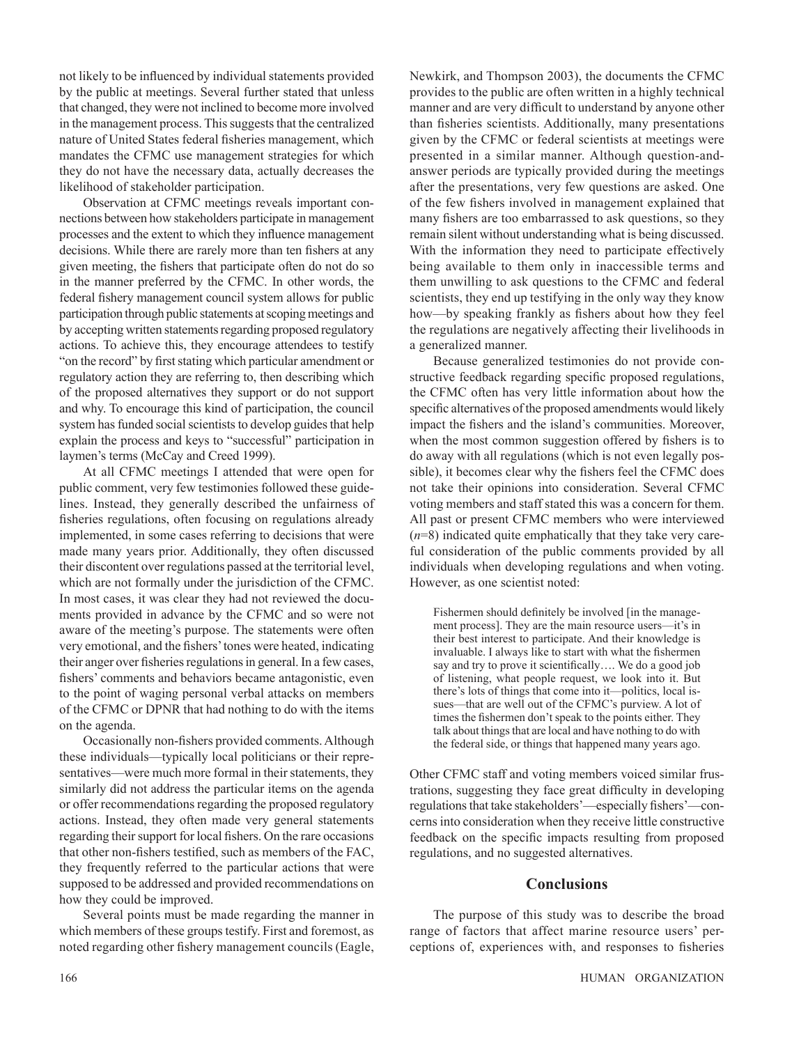not likely to be influenced by individual statements provided by the public at meetings. Several further stated that unless that changed, they were not inclined to become more involved in the management process. This suggests that the centralized nature of United States federal fisheries management, which mandates the CFMC use management strategies for which they do not have the necessary data, actually decreases the likelihood of stakeholder participation.

Observation at CFMC meetings reveals important connections between how stakeholders participate in management processes and the extent to which they influence management decisions. While there are rarely more than ten fishers at any given meeting, the fishers that participate often do not do so in the manner preferred by the CFMC. In other words, the federal fishery management council system allows for public participation through public statements at scoping meetings and by accepting written statements regarding proposed regulatory actions. To achieve this, they encourage attendees to testify "on the record" by first stating which particular amendment or regulatory action they are referring to, then describing which of the proposed alternatives they support or do not support and why. To encourage this kind of participation, the council system has funded social scientists to develop guides that help explain the process and keys to "successful" participation in laymen's terms (McCay and Creed 1999).

At all CFMC meetings I attended that were open for public comment, very few testimonies followed these guidelines. Instead, they generally described the unfairness of fisheries regulations, often focusing on regulations already implemented, in some cases referring to decisions that were made many years prior. Additionally, they often discussed their discontent over regulations passed at the territorial level, which are not formally under the jurisdiction of the CFMC. In most cases, it was clear they had not reviewed the documents provided in advance by the CFMC and so were not aware of the meeting's purpose. The statements were often very emotional, and the fishers' tones were heated, indicating their anger over fisheries regulations in general. In a few cases, fishers' comments and behaviors became antagonistic, even to the point of waging personal verbal attacks on members of the CFMC or DPNR that had nothing to do with the items on the agenda.

Occasionally non-fishers provided comments. Although these individuals—typically local politicians or their representatives—were much more formal in their statements, they similarly did not address the particular items on the agenda or offer recommendations regarding the proposed regulatory actions. Instead, they often made very general statements regarding their support for local fishers. On the rare occasions that other non-fishers testified, such as members of the FAC, they frequently referred to the particular actions that were supposed to be addressed and provided recommendations on how they could be improved.

Several points must be made regarding the manner in which members of these groups testify. First and foremost, as noted regarding other fishery management councils (Eagle, Newkirk, and Thompson 2003), the documents the CFMC provides to the public are often written in a highly technical manner and are very difficult to understand by anyone other than fisheries scientists. Additionally, many presentations given by the CFMC or federal scientists at meetings were presented in a similar manner. Although question-andanswer periods are typically provided during the meetings after the presentations, very few questions are asked. One of the few fishers involved in management explained that many fishers are too embarrassed to ask questions, so they remain silent without understanding what is being discussed. With the information they need to participate effectively being available to them only in inaccessible terms and them unwilling to ask questions to the CFMC and federal scientists, they end up testifying in the only way they know how—by speaking frankly as fishers about how they feel the regulations are negatively affecting their livelihoods in a generalized manner.

Because generalized testimonies do not provide constructive feedback regarding specific proposed regulations, the CFMC often has very little information about how the specific alternatives of the proposed amendments would likely impact the fishers and the island's communities. Moreover, when the most common suggestion offered by fishers is to do away with all regulations (which is not even legally possible), it becomes clear why the fishers feel the CFMC does not take their opinions into consideration. Several CFMC voting members and staff stated this was a concern for them. All past or present CFMC members who were interviewed (*n*=8) indicated quite emphatically that they take very careful consideration of the public comments provided by all individuals when developing regulations and when voting. However, as one scientist noted:

Fishermen should definitely be involved [in the management process]. They are the main resource users—it's in their best interest to participate. And their knowledge is invaluable. I always like to start with what the fishermen say and try to prove it scientifically…. We do a good job of listening, what people request, we look into it. But there's lots of things that come into it—politics, local issues—that are well out of the CFMC's purview. A lot of times the fishermen don't speak to the points either. They talk about things that are local and have nothing to do with the federal side, or things that happened many years ago.

Other CFMC staff and voting members voiced similar frustrations, suggesting they face great difficulty in developing regulations that take stakeholders'—especially fishers'—concerns into consideration when they receive little constructive feedback on the specific impacts resulting from proposed regulations, and no suggested alternatives.

## **Conclusions**

The purpose of this study was to describe the broad range of factors that affect marine resource users' perceptions of, experiences with, and responses to fisheries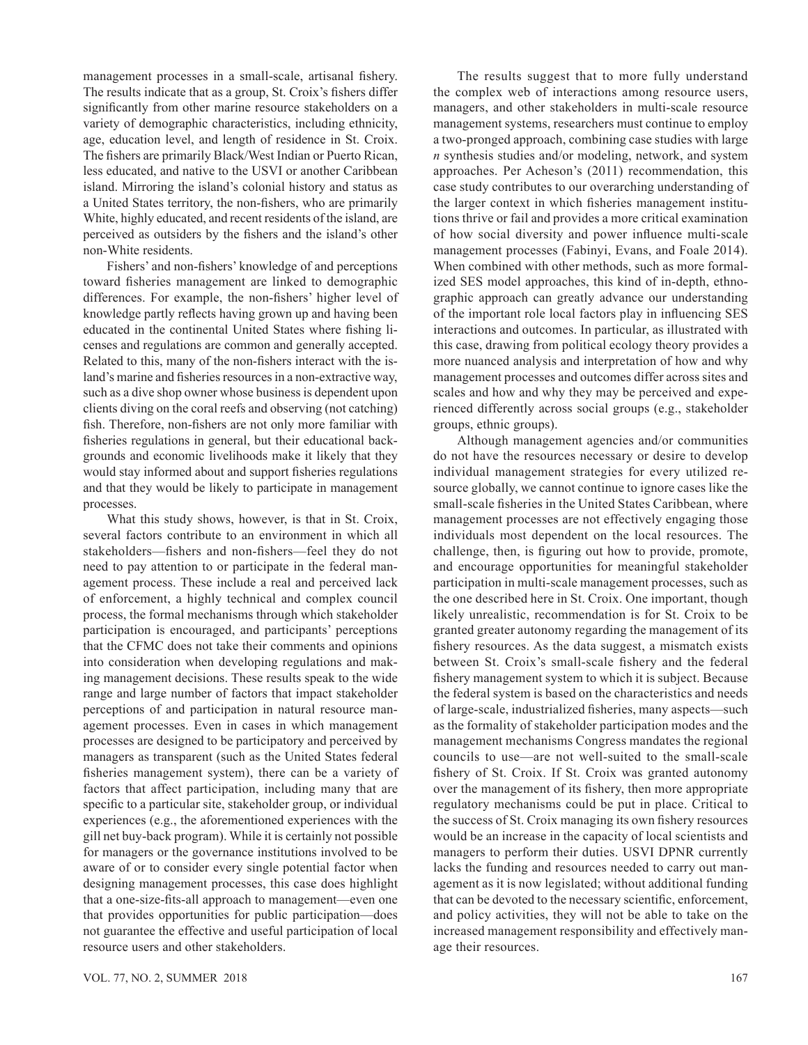management processes in a small-scale, artisanal fishery. The results indicate that as a group, St. Croix's fishers differ significantly from other marine resource stakeholders on a variety of demographic characteristics, including ethnicity, age, education level, and length of residence in St. Croix. The fishers are primarily Black/West Indian or Puerto Rican, less educated, and native to the USVI or another Caribbean island. Mirroring the island's colonial history and status as a United States territory, the non-fishers, who are primarily White, highly educated, and recent residents of the island, are perceived as outsiders by the fishers and the island's other non-White residents.

Fishers' and non-fishers' knowledge of and perceptions toward fisheries management are linked to demographic differences. For example, the non-fishers' higher level of knowledge partly reflects having grown up and having been educated in the continental United States where fishing licenses and regulations are common and generally accepted. Related to this, many of the non-fishers interact with the island's marine and fisheries resources in a non-extractive way, such as a dive shop owner whose business is dependent upon clients diving on the coral reefs and observing (not catching) fish. Therefore, non-fishers are not only more familiar with fisheries regulations in general, but their educational backgrounds and economic livelihoods make it likely that they would stay informed about and support fisheries regulations and that they would be likely to participate in management processes.

What this study shows, however, is that in St. Croix, several factors contribute to an environment in which all stakeholders—fishers and non-fishers—feel they do not need to pay attention to or participate in the federal management process. These include a real and perceived lack of enforcement, a highly technical and complex council process, the formal mechanisms through which stakeholder participation is encouraged, and participants' perceptions that the CFMC does not take their comments and opinions into consideration when developing regulations and making management decisions. These results speak to the wide range and large number of factors that impact stakeholder perceptions of and participation in natural resource management processes. Even in cases in which management processes are designed to be participatory and perceived by managers as transparent (such as the United States federal fisheries management system), there can be a variety of factors that affect participation, including many that are specific to a particular site, stakeholder group, or individual experiences (e.g., the aforementioned experiences with the gill net buy-back program). While it is certainly not possible for managers or the governance institutions involved to be aware of or to consider every single potential factor when designing management processes, this case does highlight that a one-size-fits-all approach to management—even one that provides opportunities for public participation—does not guarantee the effective and useful participation of local resource users and other stakeholders.

The results suggest that to more fully understand the complex web of interactions among resource users, managers, and other stakeholders in multi-scale resource management systems, researchers must continue to employ a two-pronged approach, combining case studies with large *n* synthesis studies and/or modeling, network, and system approaches. Per Acheson's (2011) recommendation, this case study contributes to our overarching understanding of the larger context in which fisheries management institutions thrive or fail and provides a more critical examination of how social diversity and power influence multi-scale management processes (Fabinyi, Evans, and Foale 2014). When combined with other methods, such as more formalized SES model approaches, this kind of in-depth, ethnographic approach can greatly advance our understanding of the important role local factors play in influencing SES interactions and outcomes. In particular, as illustrated with this case, drawing from political ecology theory provides a more nuanced analysis and interpretation of how and why management processes and outcomes differ across sites and scales and how and why they may be perceived and experienced differently across social groups (e.g., stakeholder groups, ethnic groups).

Although management agencies and/or communities do not have the resources necessary or desire to develop individual management strategies for every utilized resource globally, we cannot continue to ignore cases like the small-scale fisheries in the United States Caribbean, where management processes are not effectively engaging those individuals most dependent on the local resources. The challenge, then, is figuring out how to provide, promote, and encourage opportunities for meaningful stakeholder participation in multi-scale management processes, such as the one described here in St. Croix. One important, though likely unrealistic, recommendation is for St. Croix to be granted greater autonomy regarding the management of its fishery resources. As the data suggest, a mismatch exists between St. Croix's small-scale fishery and the federal fishery management system to which it is subject. Because the federal system is based on the characteristics and needs of large-scale, industrialized fisheries, many aspects—such as the formality of stakeholder participation modes and the management mechanisms Congress mandates the regional councils to use—are not well-suited to the small-scale fishery of St. Croix. If St. Croix was granted autonomy over the management of its fishery, then more appropriate regulatory mechanisms could be put in place. Critical to the success of St. Croix managing its own fishery resources would be an increase in the capacity of local scientists and managers to perform their duties. USVI DPNR currently lacks the funding and resources needed to carry out management as it is now legislated; without additional funding that can be devoted to the necessary scientific, enforcement, and policy activities, they will not be able to take on the increased management responsibility and effectively manage their resources.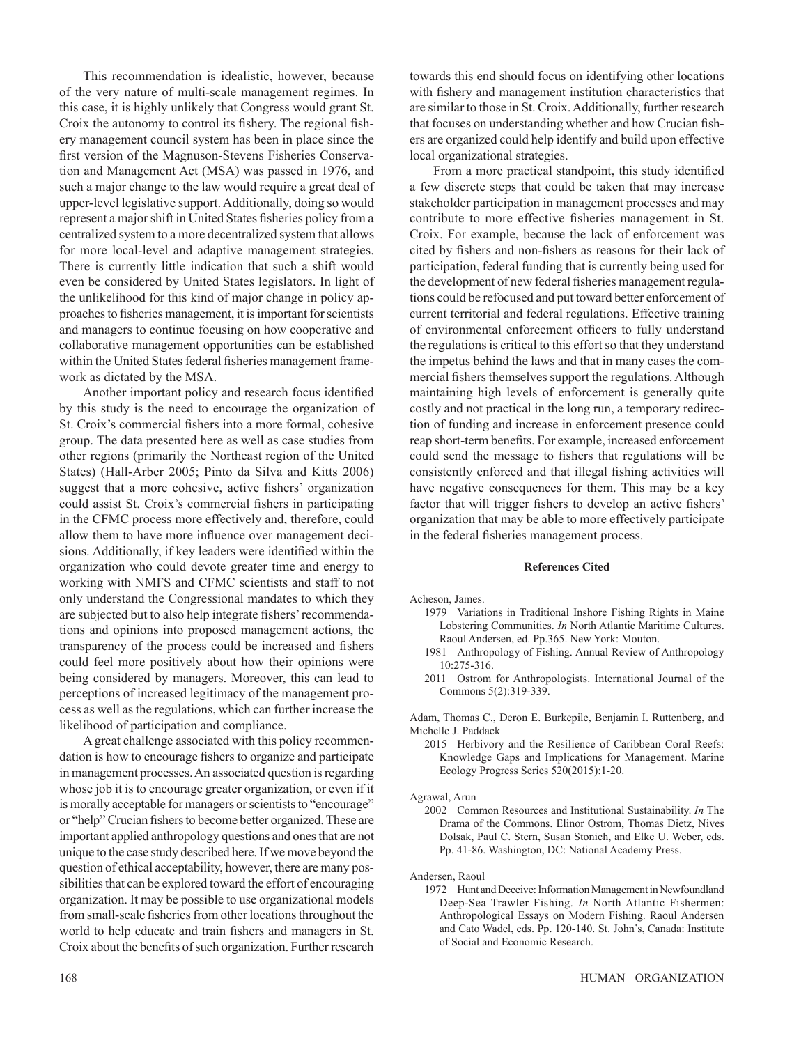This recommendation is idealistic, however, because of the very nature of multi-scale management regimes. In this case, it is highly unlikely that Congress would grant St. Croix the autonomy to control its fishery. The regional fishery management council system has been in place since the first version of the Magnuson-Stevens Fisheries Conservation and Management Act (MSA) was passed in 1976, and such a major change to the law would require a great deal of upper-level legislative support. Additionally, doing so would represent a major shift in United States fisheries policy from a centralized system to a more decentralized system that allows for more local-level and adaptive management strategies. There is currently little indication that such a shift would even be considered by United States legislators. In light of the unlikelihood for this kind of major change in policy approaches to fisheries management, it is important for scientists and managers to continue focusing on how cooperative and collaborative management opportunities can be established within the United States federal fisheries management framework as dictated by the MSA.

Another important policy and research focus identified by this study is the need to encourage the organization of St. Croix's commercial fishers into a more formal, cohesive group. The data presented here as well as case studies from other regions (primarily the Northeast region of the United States) (Hall-Arber 2005; Pinto da Silva and Kitts 2006) suggest that a more cohesive, active fishers' organization could assist St. Croix's commercial fishers in participating in the CFMC process more effectively and, therefore, could allow them to have more influence over management decisions. Additionally, if key leaders were identified within the organization who could devote greater time and energy to working with NMFS and CFMC scientists and staff to not only understand the Congressional mandates to which they are subjected but to also help integrate fishers' recommendations and opinions into proposed management actions, the transparency of the process could be increased and fishers could feel more positively about how their opinions were being considered by managers. Moreover, this can lead to perceptions of increased legitimacy of the management process as well as the regulations, which can further increase the likelihood of participation and compliance.

A great challenge associated with this policy recommendation is how to encourage fishers to organize and participate in management processes. An associated question is regarding whose job it is to encourage greater organization, or even if it is morally acceptable for managers or scientists to "encourage" or "help" Crucian fishers to become better organized. These are important applied anthropology questions and ones that are not unique to the case study described here. If we move beyond the question of ethical acceptability, however, there are many possibilities that can be explored toward the effort of encouraging organization. It may be possible to use organizational models from small-scale fisheries from other locations throughout the world to help educate and train fishers and managers in St. Croix about the benefits of such organization. Further research

towards this end should focus on identifying other locations with fishery and management institution characteristics that are similar to those in St. Croix. Additionally, further research that focuses on understanding whether and how Crucian fishers are organized could help identify and build upon effective local organizational strategies.

From a more practical standpoint, this study identified a few discrete steps that could be taken that may increase stakeholder participation in management processes and may contribute to more effective fisheries management in St. Croix. For example, because the lack of enforcement was cited by fishers and non-fishers as reasons for their lack of participation, federal funding that is currently being used for the development of new federal fisheries management regulations could be refocused and put toward better enforcement of current territorial and federal regulations. Effective training of environmental enforcement officers to fully understand the regulations is critical to this effort so that they understand the impetus behind the laws and that in many cases the commercial fishers themselves support the regulations. Although maintaining high levels of enforcement is generally quite costly and not practical in the long run, a temporary redirection of funding and increase in enforcement presence could reap short-term benefits. For example, increased enforcement could send the message to fishers that regulations will be consistently enforced and that illegal fishing activities will have negative consequences for them. This may be a key factor that will trigger fishers to develop an active fishers' organization that may be able to more effectively participate in the federal fisheries management process.

#### **References Cited**

Acheson, James.

- 1979 Variations in Traditional Inshore Fishing Rights in Maine Lobstering Communities. *In* North Atlantic Maritime Cultures. Raoul Andersen, ed. Pp.365. New York: Mouton.
- 1981 Anthropology of Fishing. Annual Review of Anthropology 10:275-316.
- 2011 Ostrom for Anthropologists. International Journal of the Commons 5(2):319-339.

Adam, Thomas C., Deron E. Burkepile, Benjamin I. Ruttenberg, and Michelle J. Paddack

- 2015 Herbivory and the Resilience of Caribbean Coral Reefs: Knowledge Gaps and Implications for Management. Marine Ecology Progress Series 520(2015):1-20.
- Agrawal, Arun
	- 2002 Common Resources and Institutional Sustainability. *In* The Drama of the Commons. Elinor Ostrom, Thomas Dietz, Nives Dolsak, Paul C. Stern, Susan Stonich, and Elke U. Weber, eds. Pp. 41-86. Washington, DC: National Academy Press.

Andersen, Raoul

1972 Hunt and Deceive: Information Management in Newfoundland Deep-Sea Trawler Fishing. *In* North Atlantic Fishermen: Anthropological Essays on Modern Fishing. Raoul Andersen and Cato Wadel, eds. Pp. 120-140. St. John's, Canada: Institute of Social and Economic Research.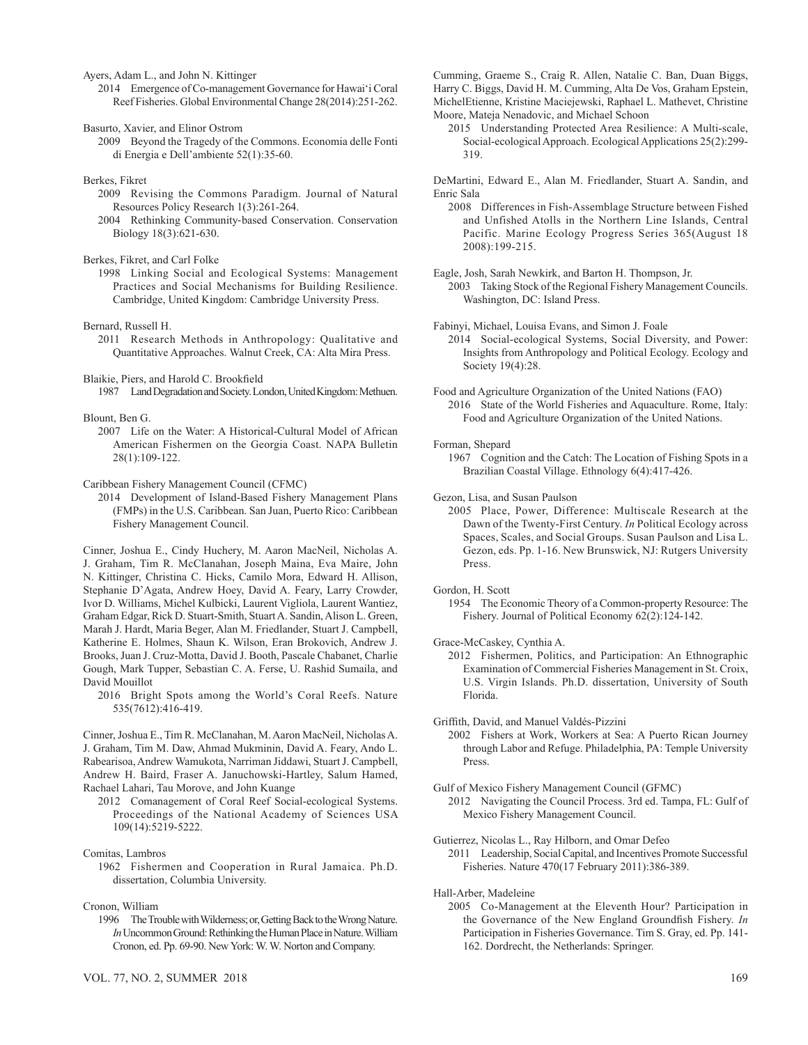Ayers, Adam L., and John N. Kittinger

- 2014 Emergence of Co-management Governance for Hawai'i Coral Reef Fisheries. Global Environmental Change 28(2014):251-262.
- Basurto, Xavier, and Elinor Ostrom
	- 2009 Beyond the Tragedy of the Commons. Economia delle Fonti di Energia e Dell'ambiente 52(1):35-60.
- Berkes, Fikret
	- 2009 Revising the Commons Paradigm. Journal of Natural Resources Policy Research 1(3):261-264.
	- 2004 Rethinking Community‐based Conservation. Conservation Biology 18(3):621-630.

Berkes, Fikret, and Carl Folke

1998 Linking Social and Ecological Systems: Management Practices and Social Mechanisms for Building Resilience. Cambridge, United Kingdom: Cambridge University Press.

Bernard, Russell H.

2011 Research Methods in Anthropology: Qualitative and Quantitative Approaches. Walnut Creek, CA: Alta Mira Press.

Blaikie, Piers, and Harold C. Brookfield

1987 Land Degradation and Society. London, United Kingdom: Methuen.

Blount, Ben G.

2007 Life on the Water: A Historical-Cultural Model of African American Fishermen on the Georgia Coast. NAPA Bulletin 28(1):109-122.

Caribbean Fishery Management Council (CFMC)

2014 Development of Island-Based Fishery Management Plans (FMPs) in the U.S. Caribbean. San Juan, Puerto Rico: Caribbean Fishery Management Council.

Cinner, Joshua E., Cindy Huchery, M. Aaron MacNeil, Nicholas A. J. Graham, Tim R. McClanahan, Joseph Maina, Eva Maire, John N. Kittinger, Christina C. Hicks, Camilo Mora, Edward H. Allison, Stephanie D'Agata, Andrew Hoey, David A. Feary, Larry Crowder, Ivor D. Williams, Michel Kulbicki, Laurent Vigliola, Laurent Wantiez, Graham Edgar, Rick D. Stuart-Smith, Stuart A. Sandin, Alison L. Green, Marah J. Hardt, Maria Beger, Alan M. Friedlander, Stuart J. Campbell, Katherine E. Holmes, Shaun K. Wilson, Eran Brokovich, Andrew J. Brooks, Juan J. Cruz-Motta, David J. Booth, Pascale Chabanet, Charlie Gough, Mark Tupper, Sebastian C. A. Ferse, U. Rashid Sumaila, and David Mouillot

2016 Bright Spots among the World's Coral Reefs. Nature 535(7612):416-419.

Cinner, Joshua E., Tim R. McClanahan, M. Aaron MacNeil, Nicholas A. J. Graham, Tim M. Daw, Ahmad Mukminin, David A. Feary, Ando L. Rabearisoa, Andrew Wamukota, Narriman Jiddawi, Stuart J. Campbell, Andrew H. Baird, Fraser A. Januchowski-Hartley, Salum Hamed, Rachael Lahari, Tau Morove, and John Kuange

2012 Comanagement of Coral Reef Social-ecological Systems. Proceedings of the National Academy of Sciences USA 109(14):5219-5222.

Comitas, Lambros

1962 Fishermen and Cooperation in Rural Jamaica. Ph.D. dissertation, Columbia University.

Cronon, William

1996 The Trouble with Wilderness; or, Getting Back to the Wrong Nature. *In* Uncommon Ground: Rethinking the Human Place in Nature. William Cronon, ed. Pp. 69-90. New York: W. W. Norton and Company.

Cumming, Graeme S., Craig R. Allen, Natalie C. Ban, Duan Biggs, Harry C. Biggs, David H. M. Cumming, Alta De Vos, Graham Epstein, MichelEtienne, Kristine Maciejewski, Raphael L. Mathevet, Christine Moore, Mateja Nenadovic, and Michael Schoon

2015 Understanding Protected Area Resilience: A Multi-scale, Social-ecological Approach. Ecological Applications 25(2):299- 319.

DeMartini, Edward E., Alan M. Friedlander, Stuart A. Sandin, and Enric Sala

- 2008 Differences in Fish-Assemblage Structure between Fished and Unfished Atolls in the Northern Line Islands, Central Pacific. Marine Ecology Progress Series 365(August 18 2008):199-215.
- Eagle, Josh, Sarah Newkirk, and Barton H. Thompson, Jr.
- 2003 Taking Stock of the Regional Fishery Management Councils. Washington, DC: Island Press.

Fabinyi, Michael, Louisa Evans, and Simon J. Foale

2014 Social-ecological Systems, Social Diversity, and Power: Insights from Anthropology and Political Ecology. Ecology and Society 19(4):28.

- Food and Agriculture Organization of the United Nations (FAO) 2016 State of the World Fisheries and Aquaculture. Rome, Italy: Food and Agriculture Organization of the United Nations.
- Forman, Shepard

1967 Cognition and the Catch: The Location of Fishing Spots in a Brazilian Coastal Village. Ethnology 6(4):417-426.

- Gezon, Lisa, and Susan Paulson
- 2005 Place, Power, Difference: Multiscale Research at the Dawn of the Twenty-First Century. *In* Political Ecology across Spaces, Scales, and Social Groups. Susan Paulson and Lisa L. Gezon, eds. Pp. 1-16. New Brunswick, NJ: Rutgers University Press.

Gordon, H. Scott

1954 The Economic Theory of a Common-property Resource: The Fishery. Journal of Political Economy 62(2):124-142.

Grace-McCaskey, Cynthia A.

2012 Fishermen, Politics, and Participation: An Ethnographic Examination of Commercial Fisheries Management in St. Croix, U.S. Virgin Islands. Ph.D. dissertation, University of South Florida.

Griffith, David, and Manuel Valdés-Pizzini

- 2002 Fishers at Work, Workers at Sea: A Puerto Rican Journey through Labor and Refuge. Philadelphia, PA: Temple University Press.
- Gulf of Mexico Fishery Management Council (GFMC) 2012 Navigating the Council Process. 3rd ed. Tampa, FL: Gulf of Mexico Fishery Management Council.
- Gutierrez, Nicolas L., Ray Hilborn, and Omar Defeo
	- 2011 Leadership, Social Capital, and Incentives Promote Successful Fisheries. Nature 470(17 February 2011):386-389.

Hall-Arber, Madeleine

2005 Co-Management at the Eleventh Hour? Participation in the Governance of the New England Groundfish Fishery. *In* Participation in Fisheries Governance. Tim S. Gray, ed. Pp. 141- 162. Dordrecht, the Netherlands: Springer.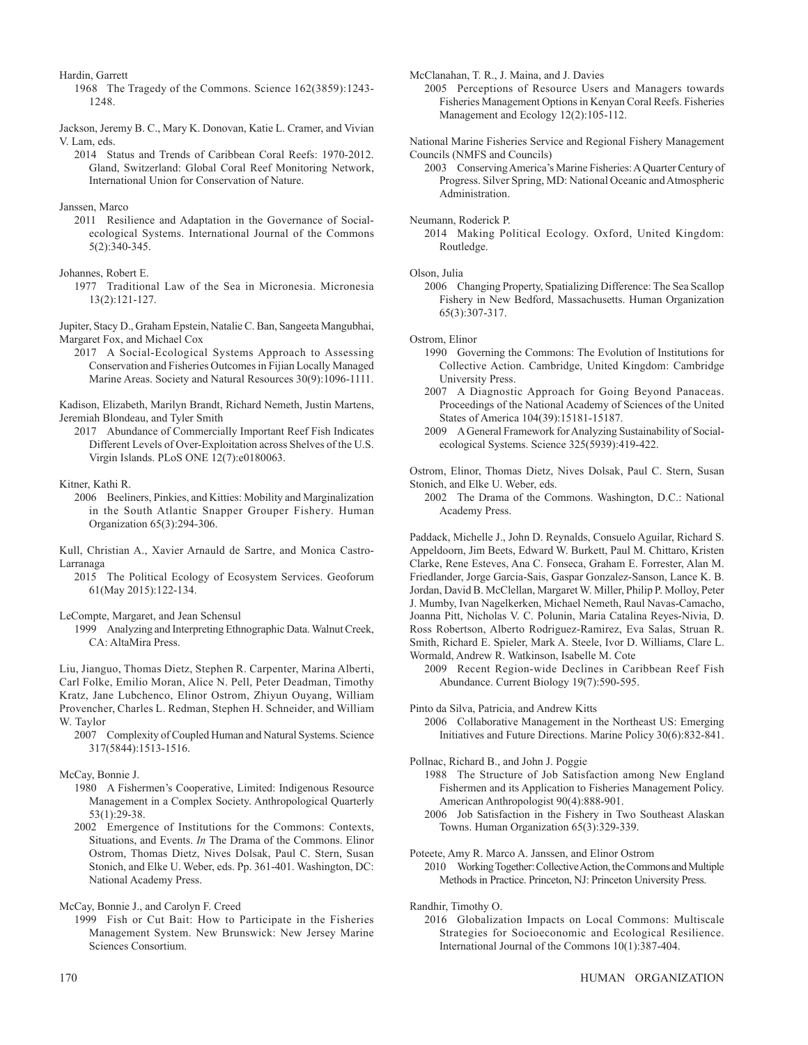Hardin, Garrett

1968 The Tragedy of the Commons. Science 162(3859):1243- 1248.

Jackson, Jeremy B. C., Mary K. Donovan, Katie L. Cramer, and Vivian V. Lam, eds.

2014 Status and Trends of Caribbean Coral Reefs: 1970-2012. Gland, Switzerland: Global Coral Reef Monitoring Network, International Union for Conservation of Nature.

Janssen, Marco

2011 Resilience and Adaptation in the Governance of Socialecological Systems. International Journal of the Commons 5(2):340-345.

#### Johannes, Robert E.

1977 Traditional Law of the Sea in Micronesia. Micronesia 13(2):121-127.

Jupiter, Stacy D., Graham Epstein, Natalie C. Ban, Sangeeta Mangubhai, Margaret Fox, and Michael Cox

2017 A Social-Ecological Systems Approach to Assessing Conservation and Fisheries Outcomes in Fijian Locally Managed Marine Areas. Society and Natural Resources 30(9):1096-1111.

Kadison, Elizabeth, Marilyn Brandt, Richard Nemeth, Justin Martens, Jeremiah Blondeau, and Tyler Smith

2017 Abundance of Commercially Important Reef Fish Indicates Different Levels of Over-Exploitation across Shelves of the U.S. Virgin Islands. PLoS ONE 12(7):e0180063.

#### Kitner, Kathi R.

- 2006 Beeliners, Pinkies, and Kitties: Mobility and Marginalization in the South Atlantic Snapper Grouper Fishery. Human Organization 65(3):294-306.
- Kull, Christian A., Xavier Arnauld de Sartre, and Monica Castro-Larranaga
	- 2015 The Political Ecology of Ecosystem Services. Geoforum 61(May 2015):122-134.

LeCompte, Margaret, and Jean Schensul

1999 Analyzing and Interpreting Ethnographic Data. Walnut Creek, CA: AltaMira Press.

Liu, Jianguo, Thomas Dietz, Stephen R. Carpenter, Marina Alberti, Carl Folke, Emilio Moran, Alice N. Pell, Peter Deadman, Timothy Kratz, Jane Lubchenco, Elinor Ostrom, Zhiyun Ouyang, William Provencher, Charles L. Redman, Stephen H. Schneider, and William W. Taylor

2007 Complexity of Coupled Human and Natural Systems. Science 317(5844):1513-1516.

- 1980 A Fishermen's Cooperative, Limited: Indigenous Resource Management in a Complex Society. Anthropological Quarterly 53(1):29-38.
- 2002 Emergence of Institutions for the Commons: Contexts, Situations, and Events. *In* The Drama of the Commons. Elinor Ostrom, Thomas Dietz, Nives Dolsak, Paul C. Stern, Susan Stonich, and Elke U. Weber, eds. Pp. 361-401. Washington, DC: National Academy Press.

McCay, Bonnie J., and Carolyn F. Creed

1999 Fish or Cut Bait: How to Participate in the Fisheries Management System. New Brunswick: New Jersey Marine Sciences Consortium.

McClanahan, T. R., J. Maina, and J. Davies

2005 Perceptions of Resource Users and Managers towards Fisheries Management Options in Kenyan Coral Reefs. Fisheries Management and Ecology 12(2):105-112.

National Marine Fisheries Service and Regional Fishery Management Councils (NMFS and Councils)

2003 Conserving America's Marine Fisheries: A Quarter Century of Progress. Silver Spring, MD: National Oceanic and Atmospheric Administration.

Neumann, Roderick P.

2014 Making Political Ecology. Oxford, United Kingdom: Routledge.

#### Olson, Julia

2006 Changing Property, Spatializing Difference: The Sea Scallop Fishery in New Bedford, Massachusetts. Human Organization 65(3):307-317.

Ostrom, Elinor

- 1990 Governing the Commons: The Evolution of Institutions for Collective Action. Cambridge, United Kingdom: Cambridge University Press.
- 2007 A Diagnostic Approach for Going Beyond Panaceas. Proceedings of the National Academy of Sciences of the United States of America 104(39):15181-15187.

2009 A General Framework for Analyzing Sustainability of Socialecological Systems. Science 325(5939):419-422.

Ostrom, Elinor, Thomas Dietz, Nives Dolsak, Paul C. Stern, Susan Stonich, and Elke U. Weber, eds.

2002 The Drama of the Commons. Washington, D.C.: National Academy Press.

Paddack, Michelle J., John D. Reynalds, Consuelo Aguilar, Richard S. Appeldoorn, Jim Beets, Edward W. Burkett, Paul M. Chittaro, Kristen Clarke, Rene Esteves, Ana C. Fonseca, Graham E. Forrester, Alan M. Friedlander, Jorge Garcia-Sais, Gaspar Gonzalez-Sanson, Lance K. B. Jordan, David B. McClellan, Margaret W. Miller, Philip P. Molloy, Peter J. Mumby, Ivan Nagelkerken, Michael Nemeth, Raul Navas-Camacho, Joanna Pitt, Nicholas V. C. Polunin, Maria Catalina Reyes-Nivia, D. Ross Robertson, Alberto Rodriguez-Ramirez, Eva Salas, Struan R. Smith, Richard E. Spieler, Mark A. Steele, Ivor D. Williams, Clare L. Wormald, Andrew R. Watkinson, Isabelle M. Cote

2009 Recent Region-wide Declines in Caribbean Reef Fish Abundance. Current Biology 19(7):590-595.

Pinto da Silva, Patricia, and Andrew Kitts

2006 Collaborative Management in the Northeast US: Emerging Initiatives and Future Directions. Marine Policy 30(6):832-841.

Pollnac, Richard B., and John J. Poggie

- 1988 The Structure of Job Satisfaction among New England Fishermen and its Application to Fisheries Management Policy. American Anthropologist 90(4):888-901.
- 2006 Job Satisfaction in the Fishery in Two Southeast Alaskan Towns. Human Organization 65(3):329-339.

Poteete, Amy R. Marco A. Janssen, and Elinor Ostrom

2010 Working Together: Collective Action, the Commons and Multiple Methods in Practice. Princeton, NJ: Princeton University Press.

Randhir, Timothy O.

2016 Globalization Impacts on Local Commons: Multiscale Strategies for Socioeconomic and Ecological Resilience. International Journal of the Commons 10(1):387-404.

McCay, Bonnie J.